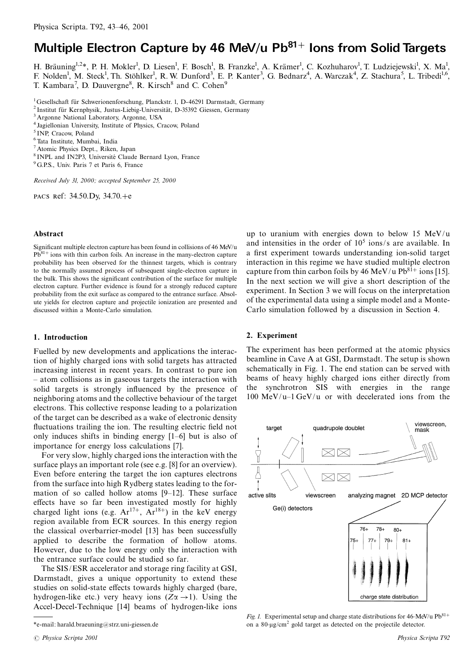# Multiple Electron Capture by 46 MeV/u  $Pb^{81+}$  lons from Solid Targets

H. Bräuning<sup>1,2\*</sup>, P. H. Mokler<sup>1</sup>, D. Liesen<sup>1</sup>, F. Bosch<sup>1</sup>, B. Franzke<sup>1</sup>, A. Krämer<sup>1</sup>, C. Kozhuharov<sup>1</sup>, T. Ludziejewski<sup>1</sup>, X. Ma<sup>1</sup>, F. Nolden<sup>1</sup>, M. Steck<sup>1</sup>, Th. Stöhlker<sup>1</sup>, R. W. Dunford<sup>3</sup>, E. P. Kanter<sup>3</sup>, G. Bednarz<sup>4</sup>, A. Warczak<sup>4</sup>, Z. Stachura<sup>5</sup>, L. Tribedi<sup>1,6</sup>, T. Kambara<sup>7</sup>, D. Dauvergne<sup>8</sup>, R. Kirsch<sup>8</sup> and C. Cohen<sup>9</sup>

<sup>1</sup>Gesellschaft für Schwerionenforschung, Planckstr. 1, D-46291 Darmstadt, Germany

- $^2$ Institut für Kernphysik, Justus-Liebig-Universität, D-35392 Giessen, Germany
- <sup>3</sup> Argonne National Laboratory, Argonne, USA
- <sup>4</sup> Jagiellonian University, Institute of Physics, Cracow, Poland
- <sup>5</sup> INP, Cracow, Poland
- <sup>6</sup> Tata Institute, Mumbai, India
- <sup>7</sup> Atomic Physics Dept., Riken, Japan
- <sup>8</sup> INPL and IN2P3, Université Claude Bernard Lyon, France
- <sup>9</sup> G.P.S., Univ. Paris 7 et Paris 6, France

Received July 31, 2000; accepted September 25, 2000

PACS Ref: 34.50. Dy, 34.70. +e

#### Abstract

Significant multiple electron capture has been found in collisions of 46 MeV/u  $Pb^{81+}$  ions with thin carbon foils. An increase in the many-electron capture probability has been observed for the thinnest targets, which is contrary to the normally assumed process of subsequent single-electron capture in the bulk. This shows the significant contribution of the surface for multiple electron capture. Further evidence is found for a strongly reduced capture probability from the exit surface as compared to the entrance surface. Absolute yields for electron capture and projectile ionization are presented and discussed within a Monte-Carlo simulation.

### 1. Introduction

Fuelled by new developments and applications the interaction of highly charged ions with solid targets has attracted increasing interest in recent years. In contrast to pure ion - atom collisions as in gaseous targets the interaction with solid targets is strongly influenced by the presence of neighboring atoms and the collective behaviour of the target electrons. This collective response leading to a polarization of the target can be described as a wake of electronic density fluctuations trailing the ion. The resulting electric field not only induces shifts in binding energy  $[1-6]$  but is also of importance for energy loss calculations [7].

For very slow, highly charged ions the interaction with the surface plays an important role (see e.g. [8] for an overview). Even before entering the target the ion captures electrons from the surface into high Rydberg states leading to the formation of so called hollow atoms  $[9-12]$ . These surface effects have so far been investigated mostly for highly charged light ions (e.g.  $Ar^{17+}$ ,  $Ar^{18+}$ ) in the keV energy region available from ECR sources. In this energy region the classical overbarrier-model [13] has been successfully applied to describe the formation of hollow atoms. However, due to the low energy only the interaction with the entrance surface could be studied so far.

The SIS/ESR accelerator and storage ring facility at GSI, Darmstadt, gives a unique opportunity to extend these studies on solid-state effects towards highly charged (bare, hydrogen-like etc.) very heavy ions  $(Z\alpha \rightarrow 1)$ . Using the Accel-Decel-Technique [14] beams of hydrogen-like ions

up to uranium with energies down to below 15  $MeV/u$ and intensities in the order of  $10^5$  ions/s are available. In a first experiment towards understanding ion-solid target interaction in this regime we have studied multiple electron capture from thin carbon foils by 46 MeV/u  $Pb^{81+}$  ions [15]. In the next section we will give a short description of the experiment. In Section 3 we will focus on the interpretation of the experimental data using a simple model and a Monte-Carlo simulation followed by a discussion in Section 4.

## 2. Experiment

The experiment has been performed at the atomic physics beamline in Cave A at GSI, Darmstadt. The setup is shown schematically in Fig. 1. The end station can be served with beams of heavy highly charged ions either directly from the synchrotron SIS with energies in the range 100 MeV/u-1 GeV/u or with decelerated ions from the



Fig. 1. Experimental setup and charge state distributions for 46-MeV/u Pb81+ on a  $80$ - $\mu$ g/cm<sup>2</sup> gold target as detected on the projectile detector.

<sup>\*</sup>e-mail: harald.braeuning@strz.uni-giessen.de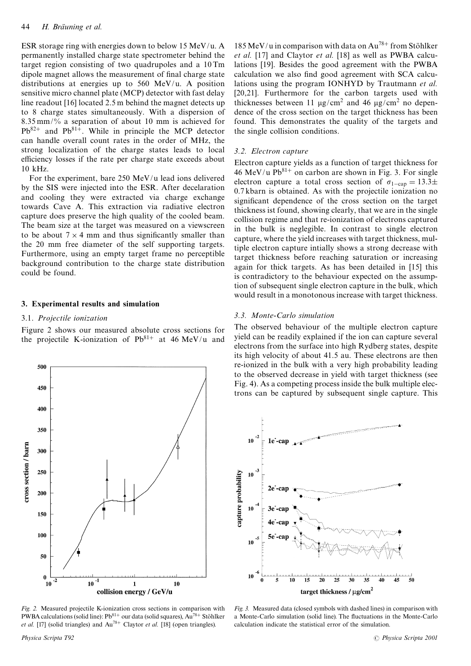ESR storage ring with energies down to below 15 MeV/u. A permanently installed charge state spectrometer behind the target region consisting of two quadrupoles and a 10 Tm dipole magnet allows the measurement of final charge state distributions at energies up to 560 MeV/u. A position sensitive micro channel plate (MCP) detector with fast delay line readout [16] located 2.5 m behind the magnet detects up to 8 charge states simultaneously. With a dispersion of  $8.35 \text{ mm}/\%$  a separation of about 10 mm is achieved for  $Pb^{82+}$  and  $Pb^{81+}$ . While in principle the MCP detector can handle overall count rates in the order of MHz, the strong localization of the charge states leads to local efficiency losses if the rate per charge state exceeds about 10 kHz.

For the experiment, bare 250 MeV/u lead ions delivered by the SIS were injected into the ESR. After decelaration and cooling they were extracted via charge exchange towards Cave A. This extraction via radiative electron capture does preserve the high quality of the cooled beam. The beam size at the target was measured on a viewscreen to be about  $7 \times 4$  mm and thus significantly smaller than the 20 mm free diameter of the self supporting targets. Furthermore, using an empty target frame no perceptible background contribution to the charge state distribution could be found.

# 3. Experimental results and simulation

# 3.1. Projectile ionization

Figure 2 shows our measured absolute cross sections for the projectile K-ionization of  $Pb^{81+}$  at 46 MeV/u and



Fig. 2. Measured projectile K-ionization cross sections in comparison with PWBA calculations (solid line):  $Pb^{81+}$  our data (solid squares),  $Au^{78+}$  Stöhlker *et al.* [17] (solid triangles) and  $Au^{78+}$  Claytor *et al.* [18] (open triangles).

185 MeV/u in comparison with data on  $Au^{78+}$  from Stöhlker et al. [17] and Claytor et al. [18] as well as PWBA calculations [19]. Besides the good agreement with the PWBA calculation we also find good agreement with SCA calculations using the program IONHYD by Trautmann et al. [20,21]. Furthermore for the carbon targets used with thicknesses between 11  $\mu$ g/cm<sup>2</sup> and 46  $\mu$ g/cm<sup>2</sup> no dependence of the cross section on the target thickness has been found. This demonstrates the quality of the targets and the single collision conditions.

## 3.2. Electron capture

Electron capture yields as a function of target thickness for 46 MeV/u  $Pb^{81+}$  on carbon are shown in Fig. 3. For single electron capture a total cross section of  $\sigma_{1-cap} = 13.3 \pm$ 0.7 kbarn is obtained. As with the projectile ionization no significant dependence of the cross section on the target thickness ist found, showing clearly, that we are in the single collision regime and that re-ionization of electrons captured in the bulk is neglegible. In contrast to single electron capture, where the yield increases with target thickness, multiple electron capture intially shows a strong decrease with target thickness before reaching saturation or increasing again for thick targets. As has been detailed in [15] this is contradictory to the behaviour expected on the assumption of subsequent single electron capture in the bulk, which would result in a monotonous increase with target thickness.

### 3.3. Monte-Carlo simulation

The observed behaviour of the multiple electron capture yield can be readily explained if the ion can capture several electrons from the surface into high Rydberg states, despite its high velocity of about 41.5 au. These electrons are then re-ionized in the bulk with a very high probability leading to the observed decrease in yield with target thickness (see Fig. 4). As a competing process inside the bulk multiple electrons can be captured by subsequent single capture. This



Fig. 3. Measured data (closed symbols with dashed lines) in comparison with a Monte-Carlo simulation (solid line). The fluctuations in the Monte-Carlo calculation indicate the statistical error of the simulation.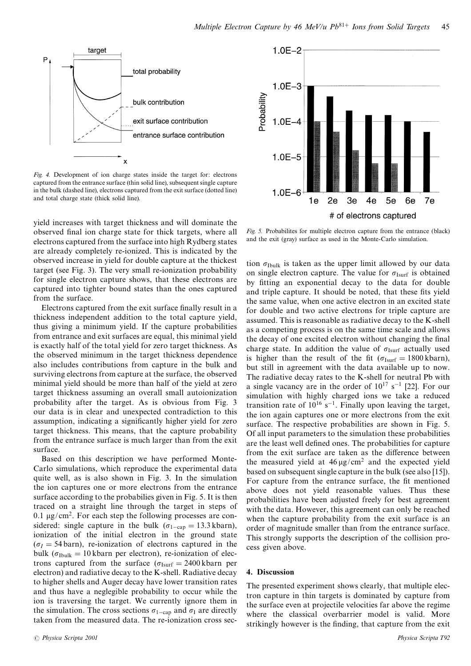

Fig. 4. Development of ion charge states inside the target for: electrons captured from the entrance surface (thin solid line), subsequent single capture in the bulk (dashed line), electrons captured from the exit surface (dotted line) and total charge state (thick solid line).

yield increases with target thickness and will dominate the observed final ion charge state for thick targets, where all electrons captured from the surface into high Rydberg states are already completely re-ionized. This is indicated by the observed increase in yield for double capture at the thickest target (see Fig. 3). The very small re-ionization probability for single electron capture shows, that these electrons are captured into tighter bound states than the ones captured from the surface.

Electrons captured from the exit surface finally result in a thickness independent addition to the total capture vield. thus giving a minimum yield. If the capture probabilities from entrance and exit surfaces are equal, this minimal yield is exactly half of the total yield for zero target thickness. As the observed minimum in the target thickness dependence also includes contributions from capture in the bulk and surviving electrons from capture at the surface, the observed minimal yield should be more than half of the yield at zero target thickness assuming an overall small autoionization probability after the target. As is obvious from Fig. 3 our data is in clear and unexpected contradiction to this assumption, indicating a significantly higher yield for zero target thickness. This means, that the capture probability from the entrance surface is much larger than from the exit surface.

Based on this description we have performed Monte-Carlo simulations, which reproduce the experimental data quite well, as is also shown in Fig. 3. In the simulation the ion captures one or more electrons from the entrance surface according to the probabilies given in Fig. 5. It is then traced on a straight line through the target in steps of 0.1  $\mu$ g/cm<sup>2</sup>. For each step the following processes are considered: single capture in the bulk  $(\sigma_{1-can} = 13.3 \text{ kbarn})$ , ionization of the initial electron in the ground state  $(\sigma_I = 54 \text{ barn})$ , re-ionization of electrons captured in the bulk ( $\sigma_{\text{Ibulk}} = 10$  kbarn per electron), re-ionization of electrons captured from the surface ( $\sigma_{\text{Isurf}} = 2400 \text{ kbarn}$  per electron) and radiative decay to the K-shell. Radiative decay to higher shells and Auger decay have lower transition rates and thus have a neglegible probability to occur while the ion is traversing the target. We currently ignore them in the simulation. The cross sections  $\sigma_{1-cap}$  and  $\sigma_{I}$  are directly taken from the measured data. The re-ionization cross sec-



Fig. 5. Probabilites for multiple electron capture from the entrance (black) and the exit (gray) surface as used in the Monte-Carlo simulation.

tion  $\sigma_{\text{Ibulk}}$  is taken as the upper limit allowed by our data on single electron capture. The value for  $\sigma_{\text{Isurf}}$  is obtained by fitting an exponential decay to the data for double and triple capture. It should be noted, that these fits yield the same value, when one active electron in an excited state for double and two active electrons for triple capture are assumed. This is reasonable as radiative decay to the K-shell as a competing process is on the same time scale and allows the decay of one excited electron without changing the final charge state. In addition the value of  $\sigma_{\text{Isurf}}$  actually used is higher than the result of the fit ( $\sigma_{\text{Isurf}} = 1800 \text{ kbarn}$ ), but still in agreement with the data available up to now. The radiative decay rates to the K-shell for neutral Pb with a single vacancy are in the order of  $10^{17}$  s<sup>-1</sup> [22]. For our simulation with highly charged ions we take a reduced transition rate of  $10^{16}$  s<sup>-1</sup>. Finally upon leaving the target, the ion again captures one or more electrons from the exit surface. The respective probabilities are shown in Fig. 5. Of all input parameters to the simulation these probabilities are the least well defined ones. The probabilities for capture from the exit surface are taken as the difference between the measured yield at  $46 \mu g/cm^2$  and the expected yield based on subsequent single capture in the bulk (see also [15]). For capture from the entrance surface, the fit mentioned above does not yield reasonable values. Thus these probabilities have been adjusted freely for best agreement with the data. However, this agreement can only be reached when the capture probability from the exit surface is an order of magnitude smaller than from the entrance surface. This strongly supports the description of the collision process given above.

#### 4. Discussion

The presented experiment shows clearly, that multiple electron capture in thin targets is dominated by capture from the surface even at projectile velocities far above the regime where the classical overbarrier model is valid. More strikingly however is the finding, that capture from the exit